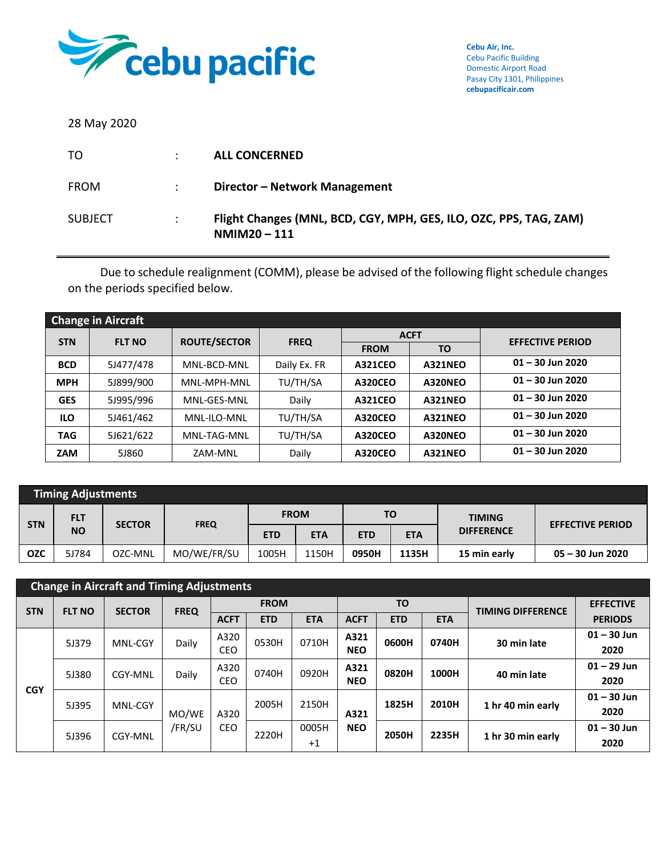

28 May 2020

| TO             |                           | <b>ALL CONCERNED</b>                                                                |
|----------------|---------------------------|-------------------------------------------------------------------------------------|
| <b>FROM</b>    | $\mathbb{R}^{\mathbb{Z}}$ | Director - Network Management                                                       |
| <b>SUBJECT</b> | ÷                         | Flight Changes (MNL, BCD, CGY, MPH, GES, ILO, OZC, PPS, TAG, ZAM)<br>$NMIM20 - 111$ |

Due to schedule realignment (COMM), please be advised of the following flight schedule changes on the periods specified below.

|            | <b>Change in Aircraft</b> |                     |              |                |                |                         |  |  |  |  |  |  |
|------------|---------------------------|---------------------|--------------|----------------|----------------|-------------------------|--|--|--|--|--|--|
| <b>STN</b> | <b>FLT NO</b>             | <b>ROUTE/SECTOR</b> | <b>FREQ</b>  |                | <b>ACFT</b>    | <b>EFFECTIVE PERIOD</b> |  |  |  |  |  |  |
|            |                           |                     |              | <b>FROM</b>    | TO             |                         |  |  |  |  |  |  |
| <b>BCD</b> | 5J477/478                 | MNL-BCD-MNL         | Daily Ex. FR | <b>A321CEO</b> | <b>A321NEO</b> | $01 - 30$ Jun 2020      |  |  |  |  |  |  |
| <b>MPH</b> | 5J899/900                 | MNL-MPH-MNL         | TU/TH/SA     | <b>A320CEO</b> | A320NEO        | $01 - 30$ Jun 2020      |  |  |  |  |  |  |
| <b>GES</b> | 5J995/996                 | MNL-GES-MNL         | Daily        | <b>A321CEO</b> | <b>A321NEO</b> | $01 - 30$ Jun 2020      |  |  |  |  |  |  |
| <b>ILO</b> | 5J461/462                 | MNL-ILO-MNL         | TU/TH/SA     | <b>A320CEO</b> | <b>A321NEO</b> | $01 - 30$ Jun 2020      |  |  |  |  |  |  |
| <b>TAG</b> | 5J621/622                 | MNL-TAG-MNL         | TU/TH/SA     | <b>A320CEO</b> | A320NEO        | $01 - 30$ Jun 2020      |  |  |  |  |  |  |
| <b>ZAM</b> | 5J860                     | ZAM-MNL             | Daily        | <b>A320CEO</b> | <b>A321NEO</b> | $01 - 30$ Jun 2020      |  |  |  |  |  |  |

|            | <b>Timing Adjustments</b> |               |             |            |             |            |            |                   |                         |  |  |  |
|------------|---------------------------|---------------|-------------|------------|-------------|------------|------------|-------------------|-------------------------|--|--|--|
|            | <b>FLT</b>                | <b>SECTOR</b> | <b>FREQ</b> |            | <b>FROM</b> |            | TO         | <b>TIMING</b>     |                         |  |  |  |
| <b>STN</b> | <b>NO</b>                 |               |             | <b>ETD</b> | <b>ETA</b>  | <b>ETD</b> | <b>ETA</b> | <b>DIFFERENCE</b> | <b>EFFECTIVE PERIOD</b> |  |  |  |
| <b>OZC</b> | 5J784                     | OZC-MNL       | MO/WE/FR/SU | 1005H      | 1150H       | 0950H      | 1135H      | 15 min early      | 05 - 30 Jun 2020        |  |  |  |

|            | <b>Change in Aircraft and Timing Adjustments</b> |               |             |             |             |            |             |            |                   |                          |                  |  |
|------------|--------------------------------------------------|---------------|-------------|-------------|-------------|------------|-------------|------------|-------------------|--------------------------|------------------|--|
| <b>STN</b> | <b>FLT NO</b>                                    | <b>SECTOR</b> | <b>FREQ</b> |             | <b>FROM</b> |            |             | <b>TO</b>  |                   | <b>TIMING DIFFERENCE</b> | <b>EFFECTIVE</b> |  |
|            |                                                  |               |             | <b>ACFT</b> | <b>ETD</b>  | <b>ETA</b> | <b>ACFT</b> | <b>ETD</b> | <b>ETA</b>        |                          | <b>PERIODS</b>   |  |
|            | 5J379                                            | MNL-CGY       | Daily       | A320        | 0530H       | 0710H      | A321        | 0600H      | 0740H             | 30 min late              | $01 - 30$ Jun    |  |
| <b>CGY</b> |                                                  |               |             | CEO         |             |            | <b>NEO</b>  |            |                   |                          | 2020             |  |
|            | 5J380                                            | CGY-MNL       | Daily       | A320        | 0740H       | 0920H      | A321        | 0820H      | 1000H             | 40 min late              | $01 - 29$ Jun    |  |
|            |                                                  |               |             | <b>CEO</b>  |             |            | <b>NEO</b>  |            |                   |                          | 2020             |  |
|            | 5J395                                            | MNL-CGY       |             |             | 2005H       | 2150H      | A321        | 1825H      | 2010H             | 1 hr 40 min early        | $01 - 30$ Jun    |  |
|            |                                                  |               | MO/WE       | A320        |             |            |             |            |                   |                          | 2020             |  |
|            | 5J396                                            | CGY-MNL       | /FR/SU      | CEO         | 2220H       | 0005H      | <b>NEO</b>  | 2050H      | 2235H             |                          | $01 - 30$ Jun    |  |
|            |                                                  |               |             |             |             | $+1$       |             |            | 1 hr 30 min early |                          | 2020             |  |